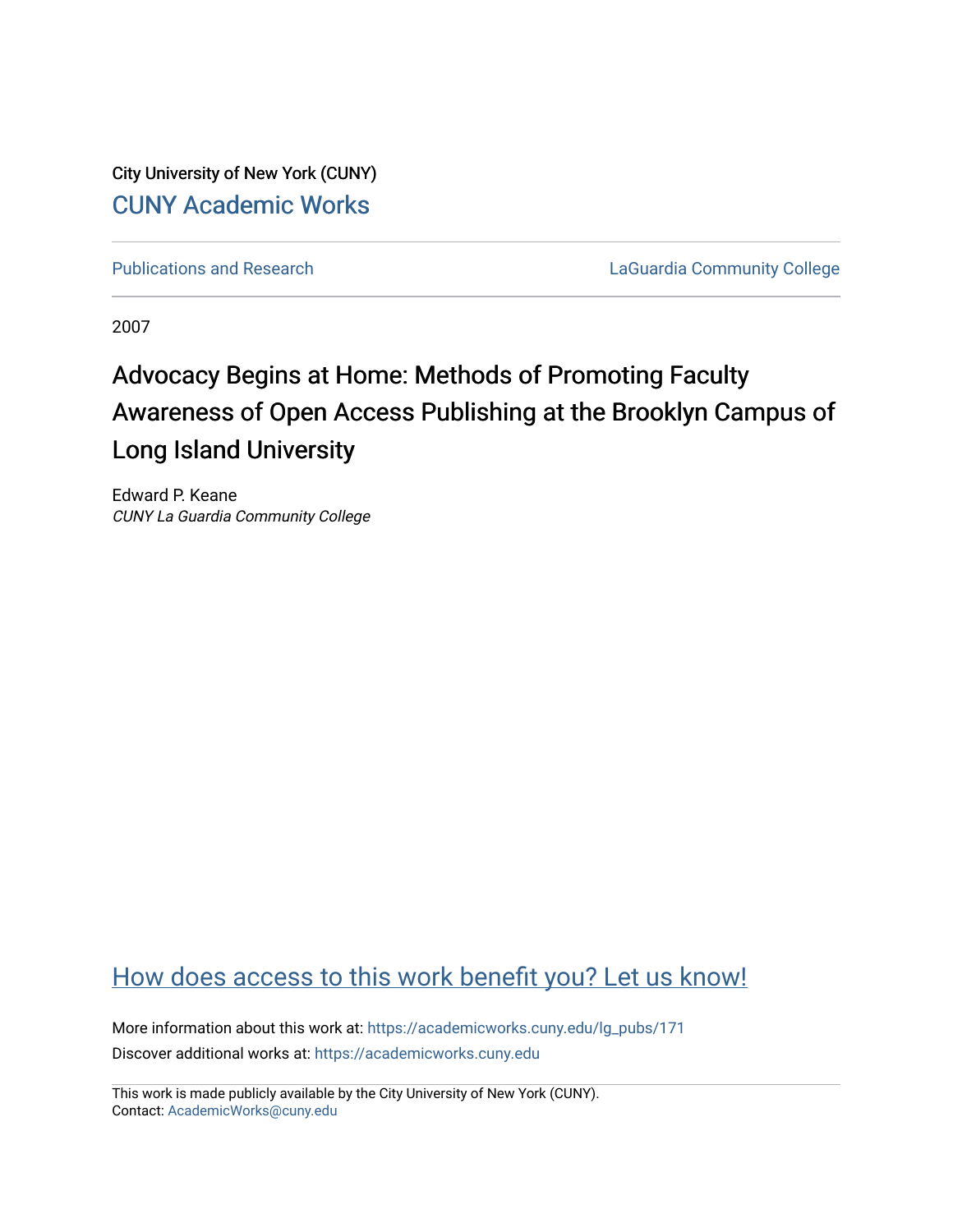City University of New York (CUNY) [CUNY Academic Works](https://academicworks.cuny.edu/) 

[Publications and Research](https://academicworks.cuny.edu/lg_pubs) **LaGuardia Community College** 

2007

# Advocacy Begins at Home: Methods of Promoting Faculty Awareness of Open Access Publishing at the Brooklyn Campus of Long Island University

Edward P. Keane CUNY La Guardia Community College

## [How does access to this work benefit you? Let us know!](http://ols.cuny.edu/academicworks/?ref=https://academicworks.cuny.edu/lg_pubs/171)

More information about this work at: [https://academicworks.cuny.edu/lg\\_pubs/171](https://academicworks.cuny.edu/lg_pubs/171)  Discover additional works at: [https://academicworks.cuny.edu](https://academicworks.cuny.edu/?)

This work is made publicly available by the City University of New York (CUNY). Contact: [AcademicWorks@cuny.edu](mailto:AcademicWorks@cuny.edu)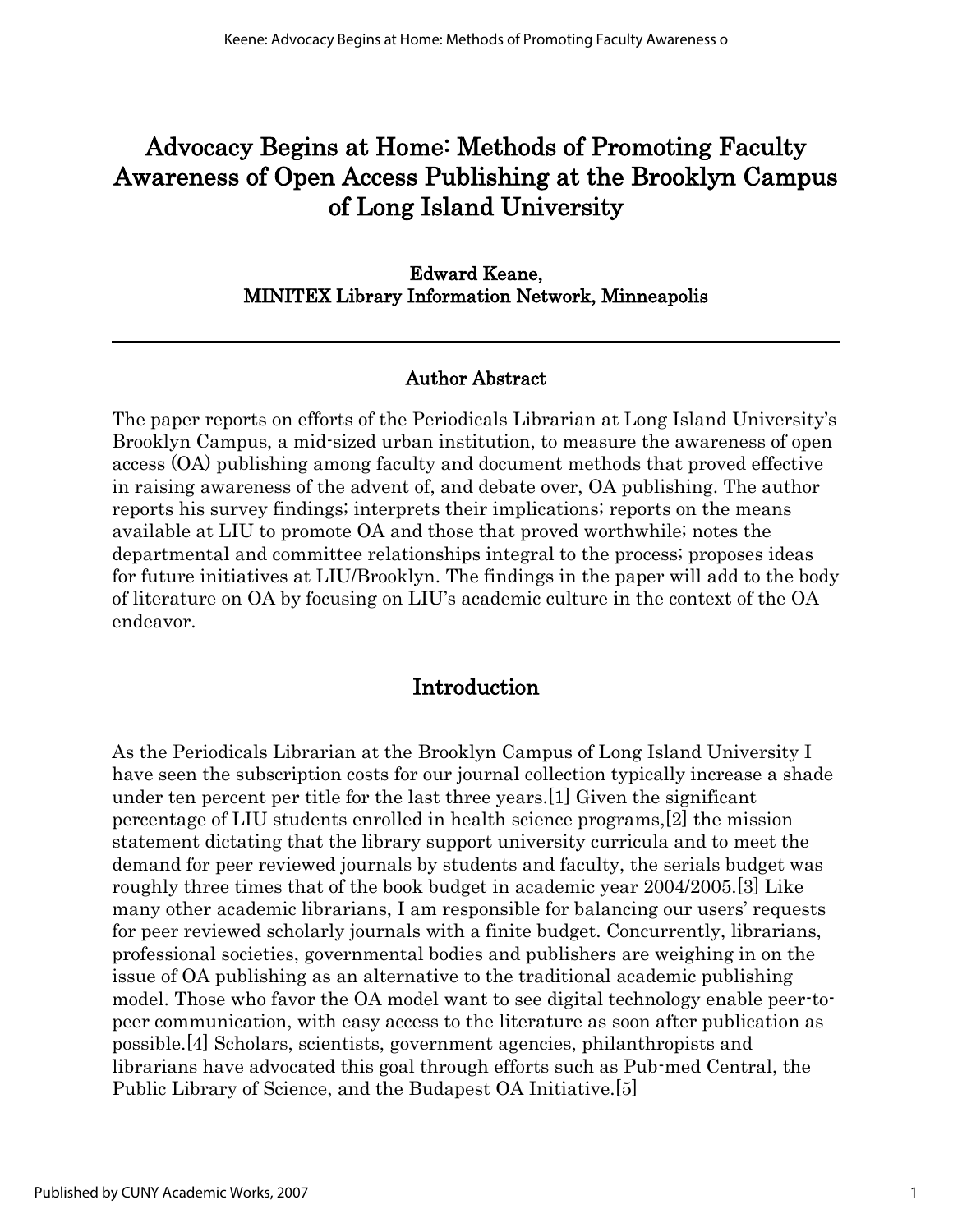## Advocacy Begins at Home: Methods of Promoting Faculty Awareness of Open Access Publishing at the Brooklyn Campus of Long Island University

#### Edward Keane, MINITEX Library Information Network, Minneapolis

#### Author Abstract

The paper reports on efforts of the Periodicals Librarian at Long Island University's Brooklyn Campus, a mid-sized urban institution, to measure the awareness of open access (OA) publishing among faculty and document methods that proved effective in raising awareness of the advent of, and debate over, OA publishing. The author reports his survey findings; interprets their implications; reports on the means available at LIU to promote OA and those that proved worthwhile; notes the departmental and committee relationships integral to the process; proposes ideas for future initiatives at LIU/Brooklyn. The findings in the paper will add to the body of literature on OA by focusing on LIU's academic culture in the context of the OA endeavor.

#### Introduction

As the Periodicals Librarian at the Brooklyn Campus of Long Island University I have seen the subscription costs for our journal collection typically increase a shade under ten percent per title for the last three years.[1] Given the significant percentage of LIU students enrolled in health science programs,[2] the mission statement dictating that the library support university curricula and to meet the demand for peer reviewed journals by students and faculty, the serials budget was roughly three times that of the book budget in academic year 2004/2005.[3] Like many other academic librarians, I am responsible for balancing our users' requests for peer reviewed scholarly journals with a finite budget. Concurrently, librarians, professional societies, governmental bodies and publishers are weighing in on the issue of OA publishing as an alternative to the traditional academic publishing model. Those who favor the OA model want to see digital technology enable peer-topeer communication, with easy access to the literature as soon after publication as possible.[4] Scholars, scientists, government agencies, philanthropists and librarians have advocated this goal through efforts such as Pub-med Central, the Public Library of Science, and the Budapest OA Initiative.[5]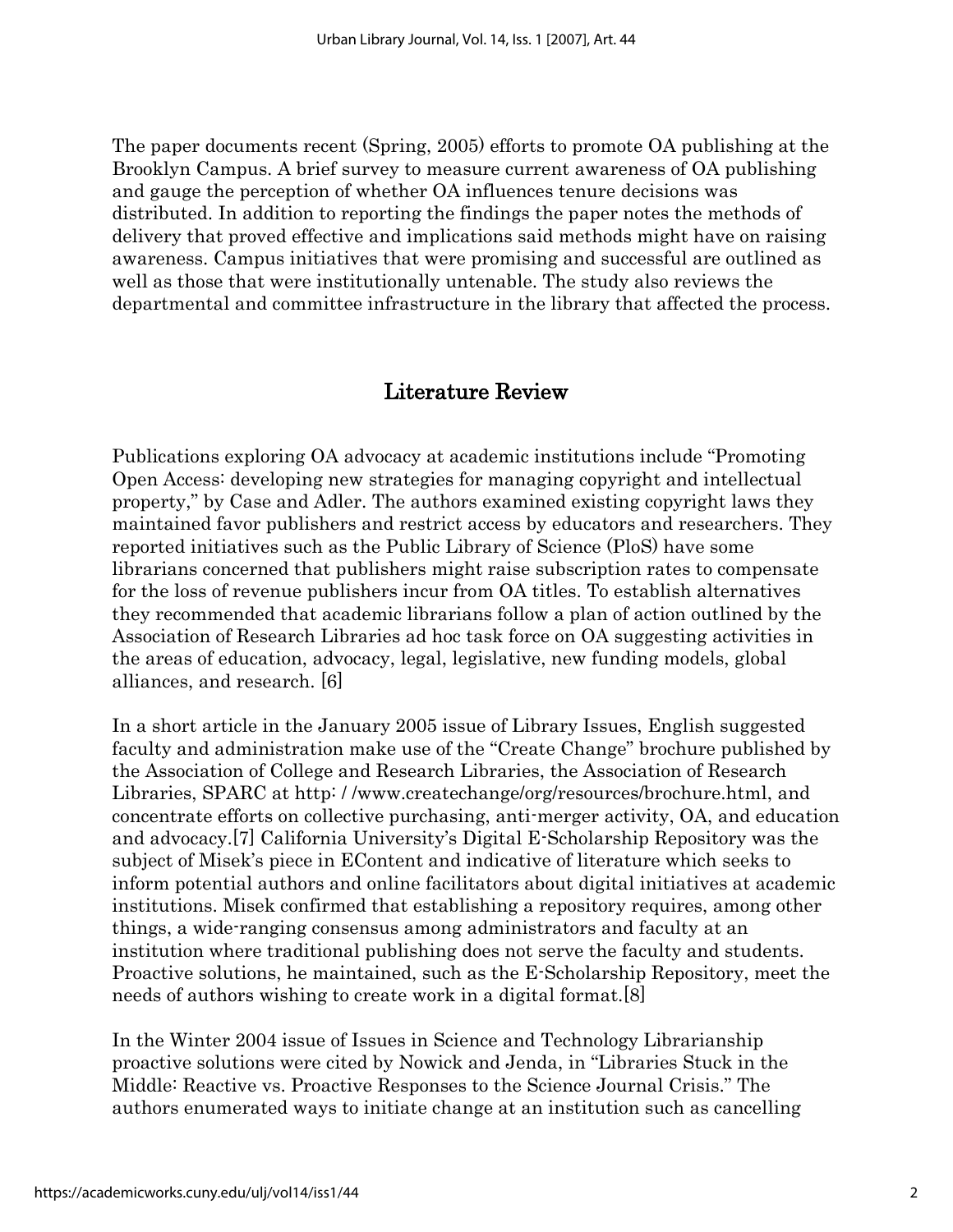The paper documents recent (Spring, 2005) efforts to promote OA publishing at the Brooklyn Campus. A brief survey to measure current awareness of OA publishing and gauge the perception of whether OA influences tenure decisions was distributed. In addition to reporting the findings the paper notes the methods of delivery that proved effective and implications said methods might have on raising awareness. Campus initiatives that were promising and successful are outlined as well as those that were institutionally untenable. The study also reviews the departmental and committee infrastructure in the library that affected the process.

#### Literature Review

Publications exploring OA advocacy at academic institutions include "Promoting Open Access: developing new strategies for managing copyright and intellectual property," by Case and Adler. The authors examined existing copyright laws they maintained favor publishers and restrict access by educators and researchers. They reported initiatives such as the Public Library of Science (PloS) have some librarians concerned that publishers might raise subscription rates to compensate for the loss of revenue publishers incur from OA titles. To establish alternatives they recommended that academic librarians follow a plan of action outlined by the Association of Research Libraries ad hoc task force on OA suggesting activities in the areas of education, advocacy, legal, legislative, new funding models, global alliances, and research. [6]

In a short article in the January 2005 issue of Library Issues, English suggested faculty and administration make use of the "Create Change" brochure published by the Association of College and Research Libraries, the Association of Research Libraries, SPARC at http: / /www.createchange/org/resources/brochure.html, and concentrate efforts on collective purchasing, anti-merger activity, OA, and education and advocacy.[7] California University's Digital E-Scholarship Repository was the subject of Misek's piece in EContent and indicative of literature which seeks to inform potential authors and online facilitators about digital initiatives at academic institutions. Misek confirmed that establishing a repository requires, among other things, a wide-ranging consensus among administrators and faculty at an institution where traditional publishing does not serve the faculty and students. Proactive solutions, he maintained, such as the E-Scholarship Repository, meet the needs of authors wishing to create work in a digital format.[8]

In the Winter 2004 issue of Issues in Science and Technology Librarianship proactive solutions were cited by Nowick and Jenda, in "Libraries Stuck in the Middle: Reactive vs. Proactive Responses to the Science Journal Crisis." The authors enumerated ways to initiate change at an institution such as cancelling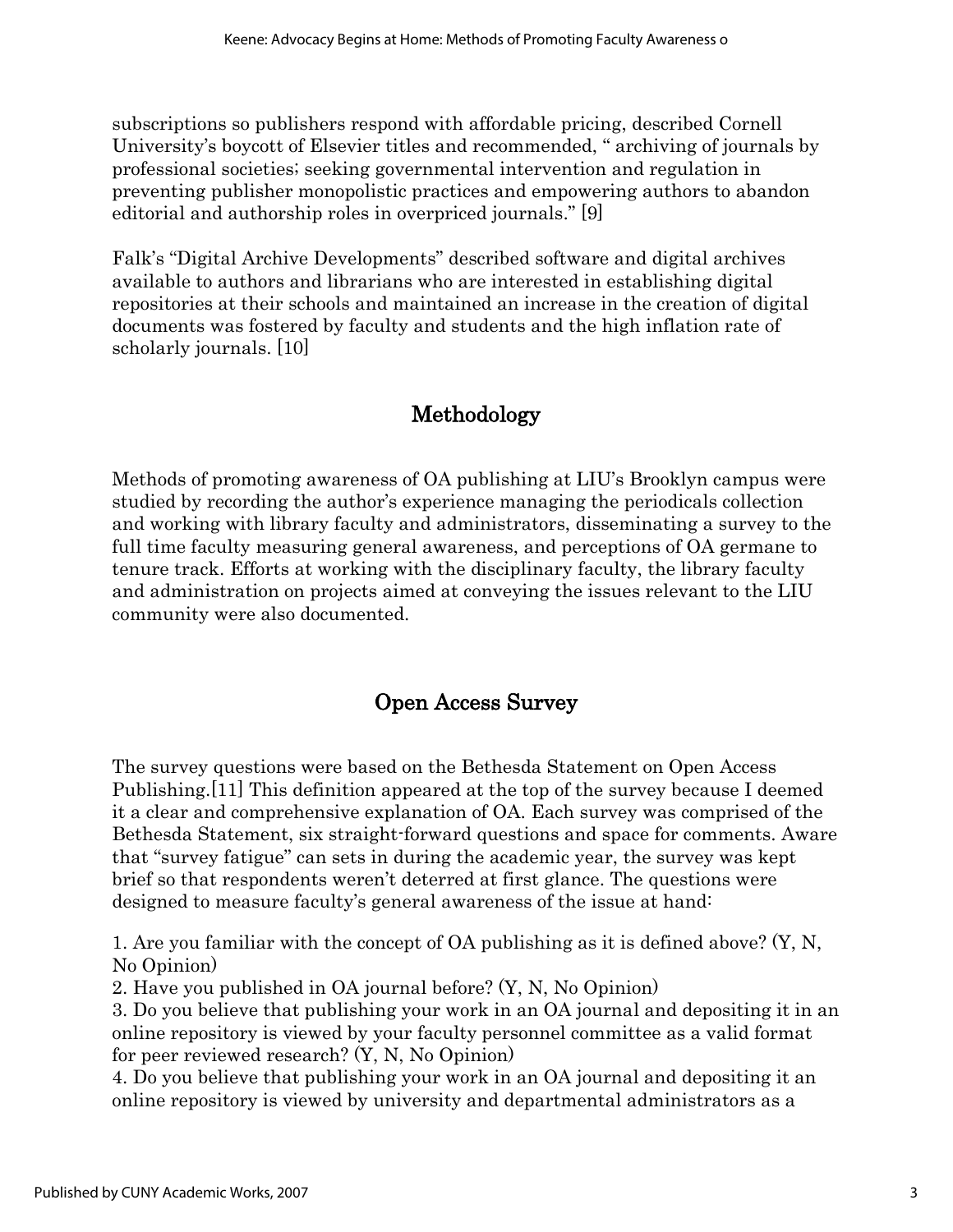subscriptions so publishers respond with affordable pricing, described Cornell University's boycott of Elsevier titles and recommended, " archiving of journals by professional societies; seeking governmental intervention and regulation in preventing publisher monopolistic practices and empowering authors to abandon editorial and authorship roles in overpriced journals." [9]

Falk's "Digital Archive Developments" described software and digital archives available to authors and librarians who are interested in establishing digital repositories at their schools and maintained an increase in the creation of digital documents was fostered by faculty and students and the high inflation rate of scholarly journals. [10]

### Methodology

Methods of promoting awareness of OA publishing at LIU's Brooklyn campus were studied by recording the author's experience managing the periodicals collection and working with library faculty and administrators, disseminating a survey to the full time faculty measuring general awareness, and perceptions of OA germane to tenure track. Efforts at working with the disciplinary faculty, the library faculty and administration on projects aimed at conveying the issues relevant to the LIU community were also documented.

### Open Access Survey

The survey questions were based on the Bethesda Statement on Open Access Publishing.[11] This definition appeared at the top of the survey because I deemed it a clear and comprehensive explanation of OA. Each survey was comprised of the Bethesda Statement, six straight-forward questions and space for comments. Aware that "survey fatigue" can sets in during the academic year, the survey was kept brief so that respondents weren't deterred at first glance. The questions were designed to measure faculty's general awareness of the issue at hand:

1. Are you familiar with the concept of OA publishing as it is defined above? (Y, N, No Opinion)

2. Have you published in OA journal before? (Y, N, No Opinion)

3. Do you believe that publishing your work in an OA journal and depositing it in an online repository is viewed by your faculty personnel committee as a valid format for peer reviewed research? (Y, N, No Opinion)

4. Do you believe that publishing your work in an OA journal and depositing it an online repository is viewed by university and departmental administrators as a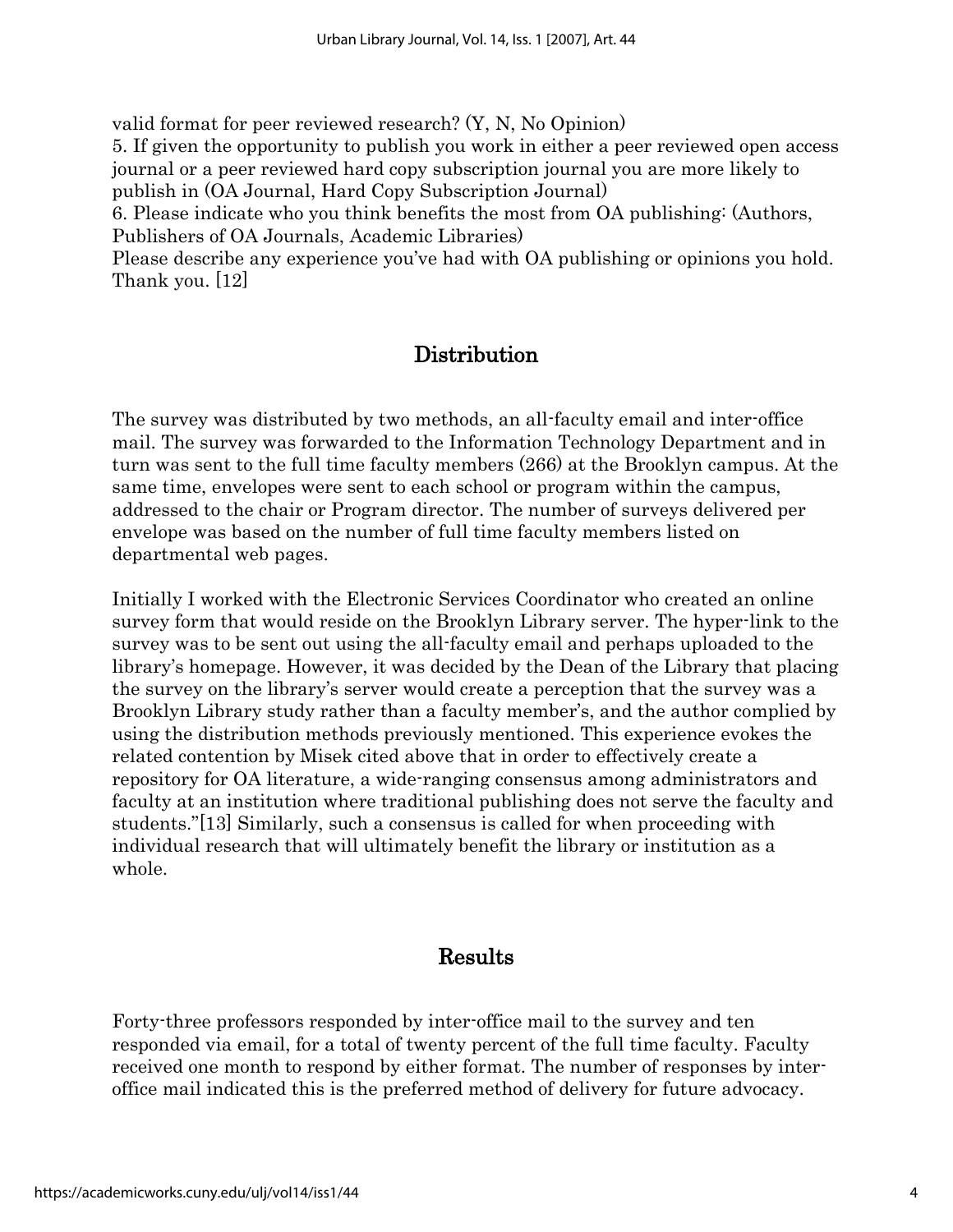valid format for peer reviewed research? (Y, N, No Opinion) 5. If given the opportunity to publish you work in either a peer reviewed open access journal or a peer reviewed hard copy subscription journal you are more likely to publish in (OA Journal, Hard Copy Subscription Journal) 6. Please indicate who you think benefits the most from OA publishing: (Authors, Publishers of OA Journals, Academic Libraries)

Please describe any experience you've had with OA publishing or opinions you hold. Thank you. [12]

### Distribution

The survey was distributed by two methods, an all-faculty email and inter-office mail. The survey was forwarded to the Information Technology Department and in turn was sent to the full time faculty members (266) at the Brooklyn campus. At the same time, envelopes were sent to each school or program within the campus, addressed to the chair or Program director. The number of surveys delivered per envelope was based on the number of full time faculty members listed on departmental web pages.

Initially I worked with the Electronic Services Coordinator who created an online survey form that would reside on the Brooklyn Library server. The hyper-link to the survey was to be sent out using the all-faculty email and perhaps uploaded to the library's homepage. However, it was decided by the Dean of the Library that placing the survey on the library's server would create a perception that the survey was a Brooklyn Library study rather than a faculty member's, and the author complied by using the distribution methods previously mentioned. This experience evokes the related contention by Misek cited above that in order to effectively create a repository for OA literature, a wide-ranging consensus among administrators and faculty at an institution where traditional publishing does not serve the faculty and students."[13] Similarly, such a consensus is called for when proceeding with individual research that will ultimately benefit the library or institution as a whole.

#### Results

Forty-three professors responded by inter-office mail to the survey and ten responded via email, for a total of twenty percent of the full time faculty. Faculty received one month to respond by either format. The number of responses by interoffice mail indicated this is the preferred method of delivery for future advocacy.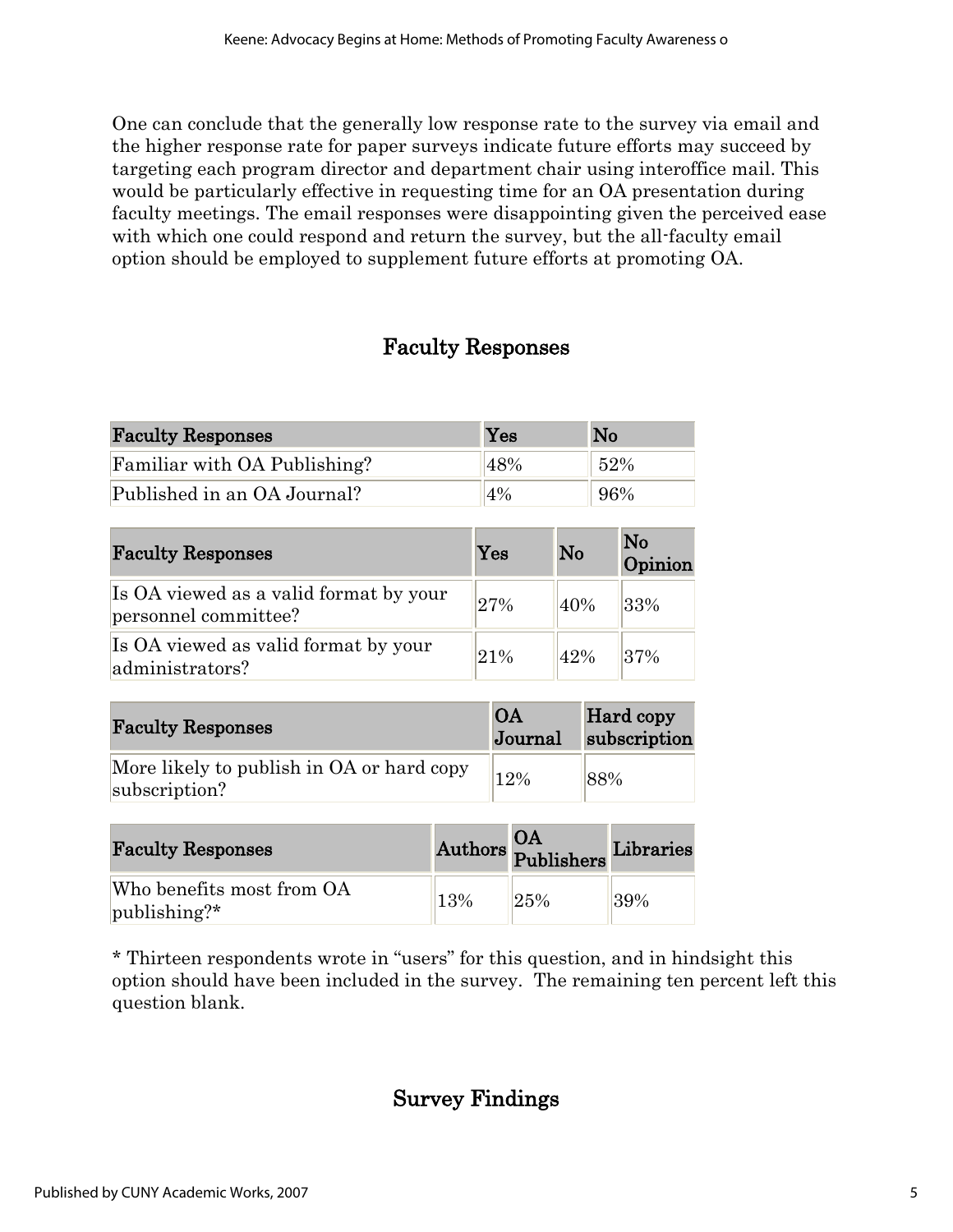One can conclude that the generally low response rate to the survey via email and the higher response rate for paper surveys indicate future efforts may succeed by targeting each program director and department chair using interoffice mail. This would be particularly effective in requesting time for an OA presentation during faculty meetings. The email responses were disappointing given the perceived ease with which one could respond and return the survey, but the all-faculty email option should be employed to supplement future efforts at promoting OA.

### Faculty Responses

| <b>Faculty Responses</b>     | Yes   | N <sub>o</sub> |
|------------------------------|-------|----------------|
| Familiar with OA Publishing? | 48%   | 52%            |
| Published in an OA Journal?  | $4\%$ | 96%            |

| <b>Faculty Responses</b>                                       | Yes | No  | No<br>Opinion |
|----------------------------------------------------------------|-----|-----|---------------|
| Is OA viewed as a valid format by your<br>personnel committee? | 27% | 40% | 33%           |
| Is OA viewed as valid format by your<br>administrators?        | 21% | 42% | 37%           |

| <b>Faculty Responses</b>                                   | <b>OA</b><br>Journal | <b>Hard copy</b><br>subscription |
|------------------------------------------------------------|----------------------|----------------------------------|
| More likely to publish in OA or hard copy<br>subscription? | 12%                  | 88%                              |

| <b>Faculty Responses</b>                              |     | Authors Publishers Librarie |     |
|-------------------------------------------------------|-----|-----------------------------|-----|
| Who benefits most from OA<br>$ {\rm publisheding}?^*$ | 13% | 25%                         | 39% |

\* Thirteen respondents wrote in "users" for this question, and in hindsight this option should have been included in the survey. The remaining ten percent left this question blank.

## Survey Findings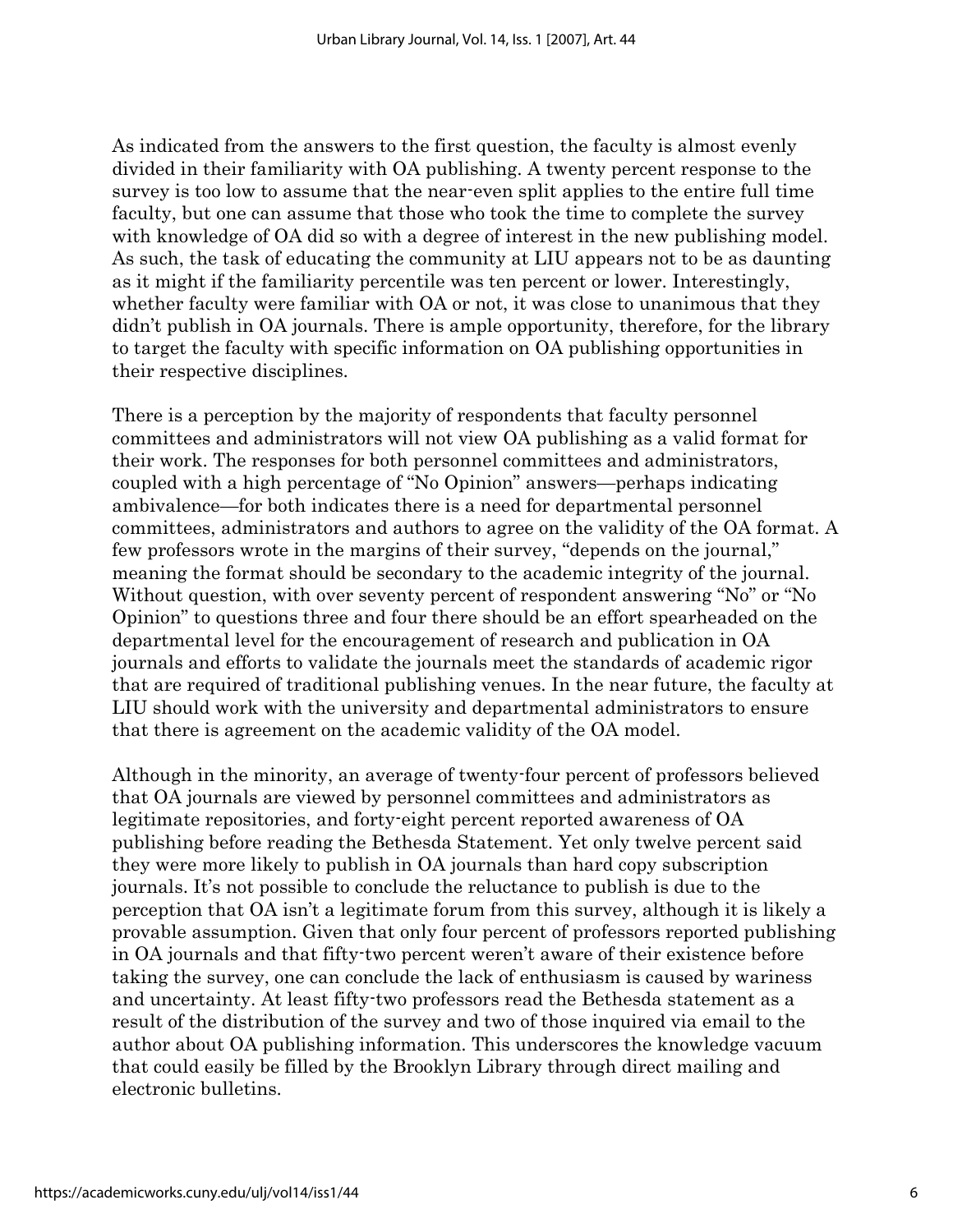As indicated from the answers to the first question, the faculty is almost evenly divided in their familiarity with OA publishing. A twenty percent response to the survey is too low to assume that the near-even split applies to the entire full time faculty, but one can assume that those who took the time to complete the survey with knowledge of OA did so with a degree of interest in the new publishing model. As such, the task of educating the community at LIU appears not to be as daunting as it might if the familiarity percentile was ten percent or lower. Interestingly, whether faculty were familiar with OA or not, it was close to unanimous that they didn't publish in OA journals. There is ample opportunity, therefore, for the library to target the faculty with specific information on OA publishing opportunities in their respective disciplines.

There is a perception by the majority of respondents that faculty personnel committees and administrators will not view OA publishing as a valid format for their work. The responses for both personnel committees and administrators, coupled with a high percentage of "No Opinion" answers—perhaps indicating ambivalence—for both indicates there is a need for departmental personnel committees, administrators and authors to agree on the validity of the OA format. A few professors wrote in the margins of their survey, "depends on the journal," meaning the format should be secondary to the academic integrity of the journal. Without question, with over seventy percent of respondent answering "No" or "No Opinion" to questions three and four there should be an effort spearheaded on the departmental level for the encouragement of research and publication in OA journals and efforts to validate the journals meet the standards of academic rigor that are required of traditional publishing venues. In the near future, the faculty at LIU should work with the university and departmental administrators to ensure that there is agreement on the academic validity of the OA model.

Although in the minority, an average of twenty-four percent of professors believed that OA journals are viewed by personnel committees and administrators as legitimate repositories, and forty-eight percent reported awareness of OA publishing before reading the Bethesda Statement. Yet only twelve percent said they were more likely to publish in OA journals than hard copy subscription journals. It's not possible to conclude the reluctance to publish is due to the perception that OA isn't a legitimate forum from this survey, although it is likely a provable assumption. Given that only four percent of professors reported publishing in OA journals and that fifty-two percent weren't aware of their existence before taking the survey, one can conclude the lack of enthusiasm is caused by wariness and uncertainty. At least fifty-two professors read the Bethesda statement as a result of the distribution of the survey and two of those inquired via email to the author about OA publishing information. This underscores the knowledge vacuum that could easily be filled by the Brooklyn Library through direct mailing and electronic bulletins.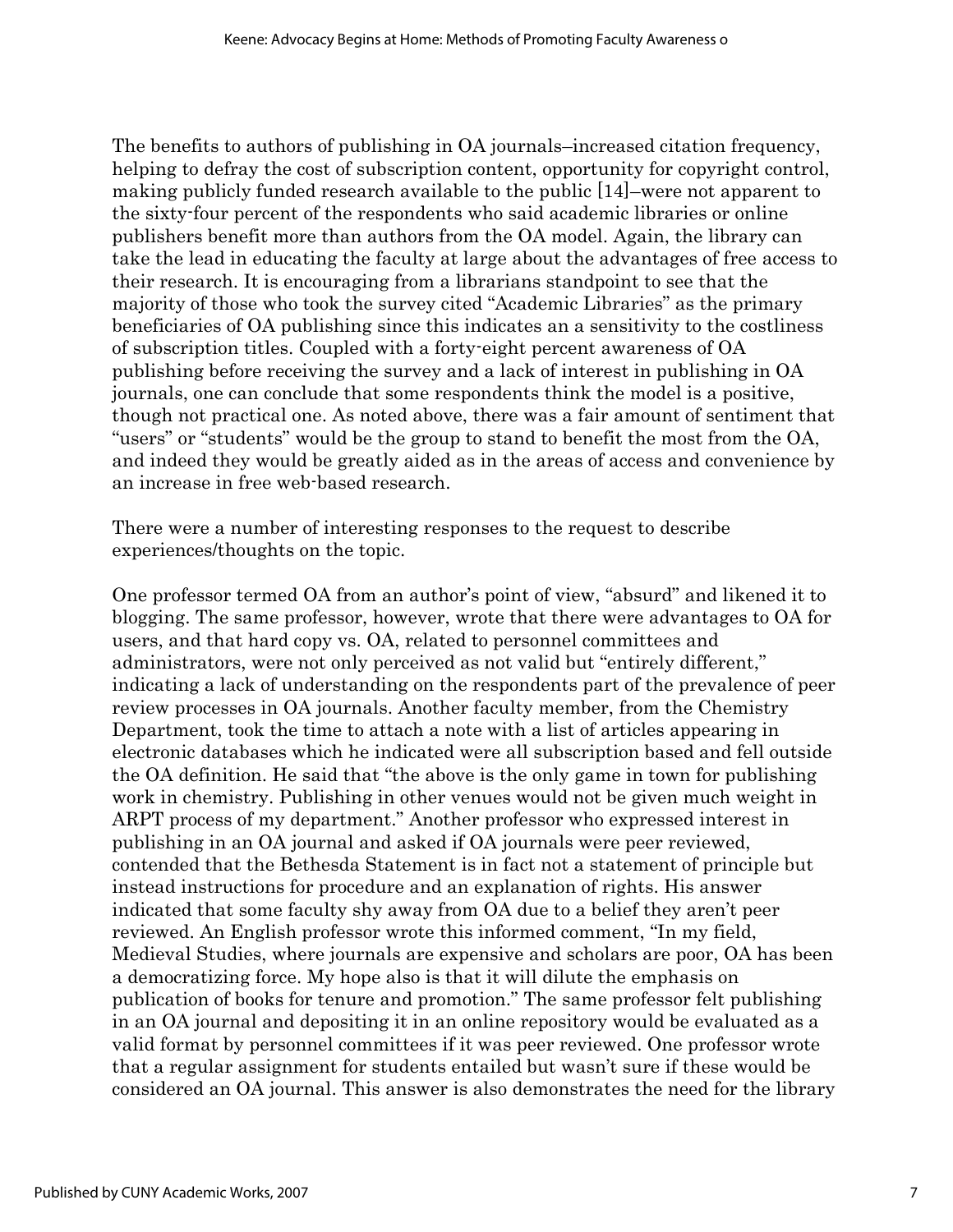The benefits to authors of publishing in OA journals–increased citation frequency, helping to defray the cost of subscription content, opportunity for copyright control, making publicly funded research available to the public [14]–were not apparent to the sixty-four percent of the respondents who said academic libraries or online publishers benefit more than authors from the OA model. Again, the library can take the lead in educating the faculty at large about the advantages of free access to their research. It is encouraging from a librarians standpoint to see that the majority of those who took the survey cited "Academic Libraries" as the primary beneficiaries of OA publishing since this indicates an a sensitivity to the costliness of subscription titles. Coupled with a forty-eight percent awareness of OA publishing before receiving the survey and a lack of interest in publishing in OA journals, one can conclude that some respondents think the model is a positive, though not practical one. As noted above, there was a fair amount of sentiment that "users" or "students" would be the group to stand to benefit the most from the OA, and indeed they would be greatly aided as in the areas of access and convenience by an increase in free web-based research.

There were a number of interesting responses to the request to describe experiences/thoughts on the topic.

One professor termed OA from an author's point of view, "absurd" and likened it to blogging. The same professor, however, wrote that there were advantages to OA for users, and that hard copy vs. OA, related to personnel committees and administrators, were not only perceived as not valid but "entirely different," indicating a lack of understanding on the respondents part of the prevalence of peer review processes in OA journals. Another faculty member, from the Chemistry Department, took the time to attach a note with a list of articles appearing in electronic databases which he indicated were all subscription based and fell outside the OA definition. He said that "the above is the only game in town for publishing work in chemistry. Publishing in other venues would not be given much weight in ARPT process of my department." Another professor who expressed interest in publishing in an OA journal and asked if OA journals were peer reviewed, contended that the Bethesda Statement is in fact not a statement of principle but instead instructions for procedure and an explanation of rights. His answer indicated that some faculty shy away from OA due to a belief they aren't peer reviewed. An English professor wrote this informed comment, "In my field, Medieval Studies, where journals are expensive and scholars are poor, OA has been a democratizing force. My hope also is that it will dilute the emphasis on publication of books for tenure and promotion." The same professor felt publishing in an OA journal and depositing it in an online repository would be evaluated as a valid format by personnel committees if it was peer reviewed. One professor wrote that a regular assignment for students entailed but wasn't sure if these would be considered an OA journal. This answer is also demonstrates the need for the library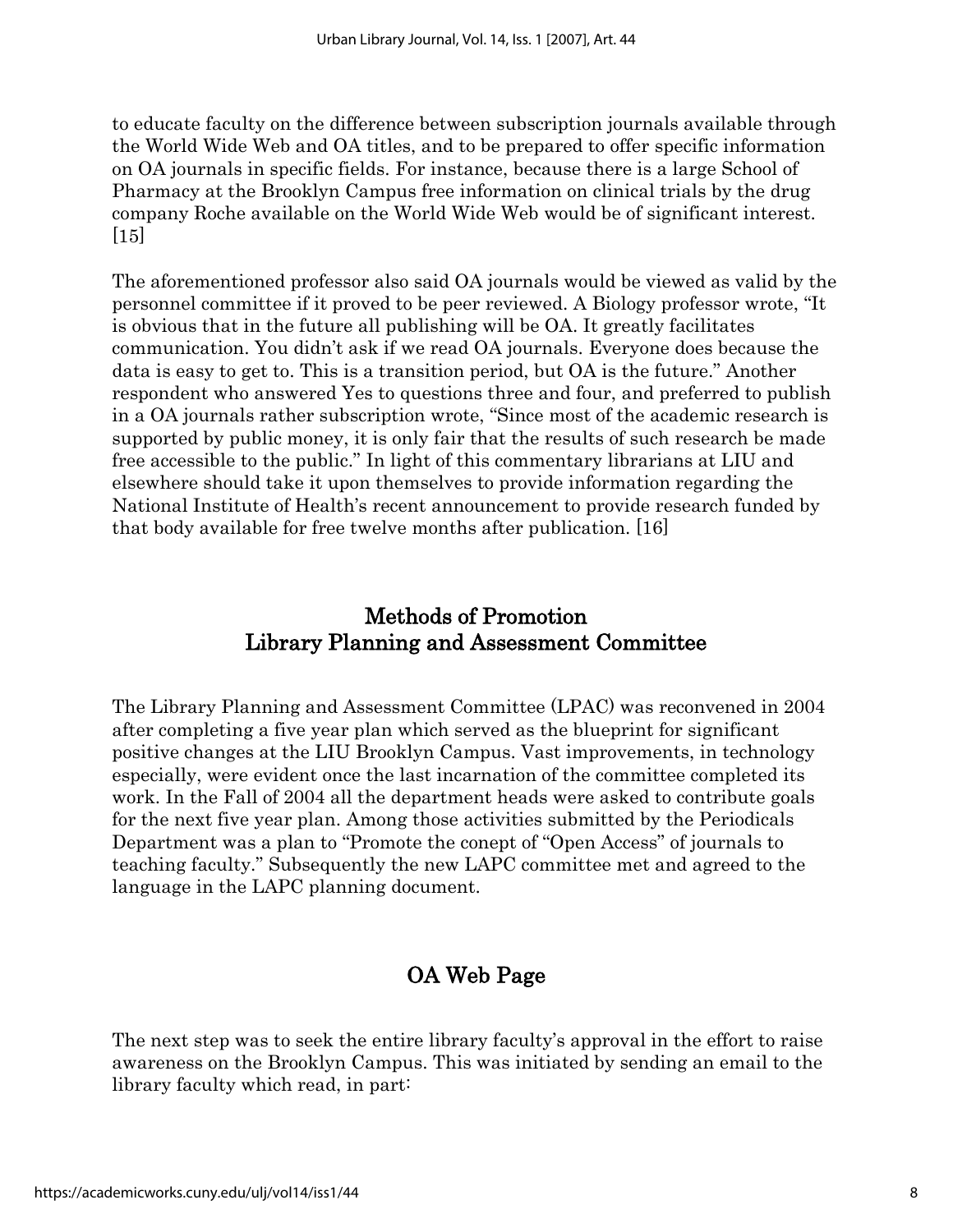to educate faculty on the difference between subscription journals available through the World Wide Web and OA titles, and to be prepared to offer specific information on OA journals in specific fields. For instance, because there is a large School of Pharmacy at the Brooklyn Campus free information on clinical trials by the drug company Roche available on the World Wide Web would be of significant interest.  $[15]$ 

The aforementioned professor also said OA journals would be viewed as valid by the personnel committee if it proved to be peer reviewed. A Biology professor wrote, "It is obvious that in the future all publishing will be OA. It greatly facilitates communication. You didn't ask if we read OA journals. Everyone does because the data is easy to get to. This is a transition period, but OA is the future." Another respondent who answered Yes to questions three and four, and preferred to publish in a OA journals rather subscription wrote, "Since most of the academic research is supported by public money, it is only fair that the results of such research be made free accessible to the public." In light of this commentary librarians at LIU and elsewhere should take it upon themselves to provide information regarding the National Institute of Health's recent announcement to provide research funded by that body available for free twelve months after publication. [16]

### Methods of Promotion Library Planning and Assessment Committee

The Library Planning and Assessment Committee (LPAC) was reconvened in 2004 after completing a five year plan which served as the blueprint for significant positive changes at the LIU Brooklyn Campus. Vast improvements, in technology especially, were evident once the last incarnation of the committee completed its work. In the Fall of 2004 all the department heads were asked to contribute goals for the next five year plan. Among those activities submitted by the Periodicals Department was a plan to "Promote the conept of "Open Access" of journals to teaching faculty." Subsequently the new LAPC committee met and agreed to the language in the LAPC planning document.

## OA Web Page

The next step was to seek the entire library faculty's approval in the effort to raise awareness on the Brooklyn Campus. This was initiated by sending an email to the library faculty which read, in part: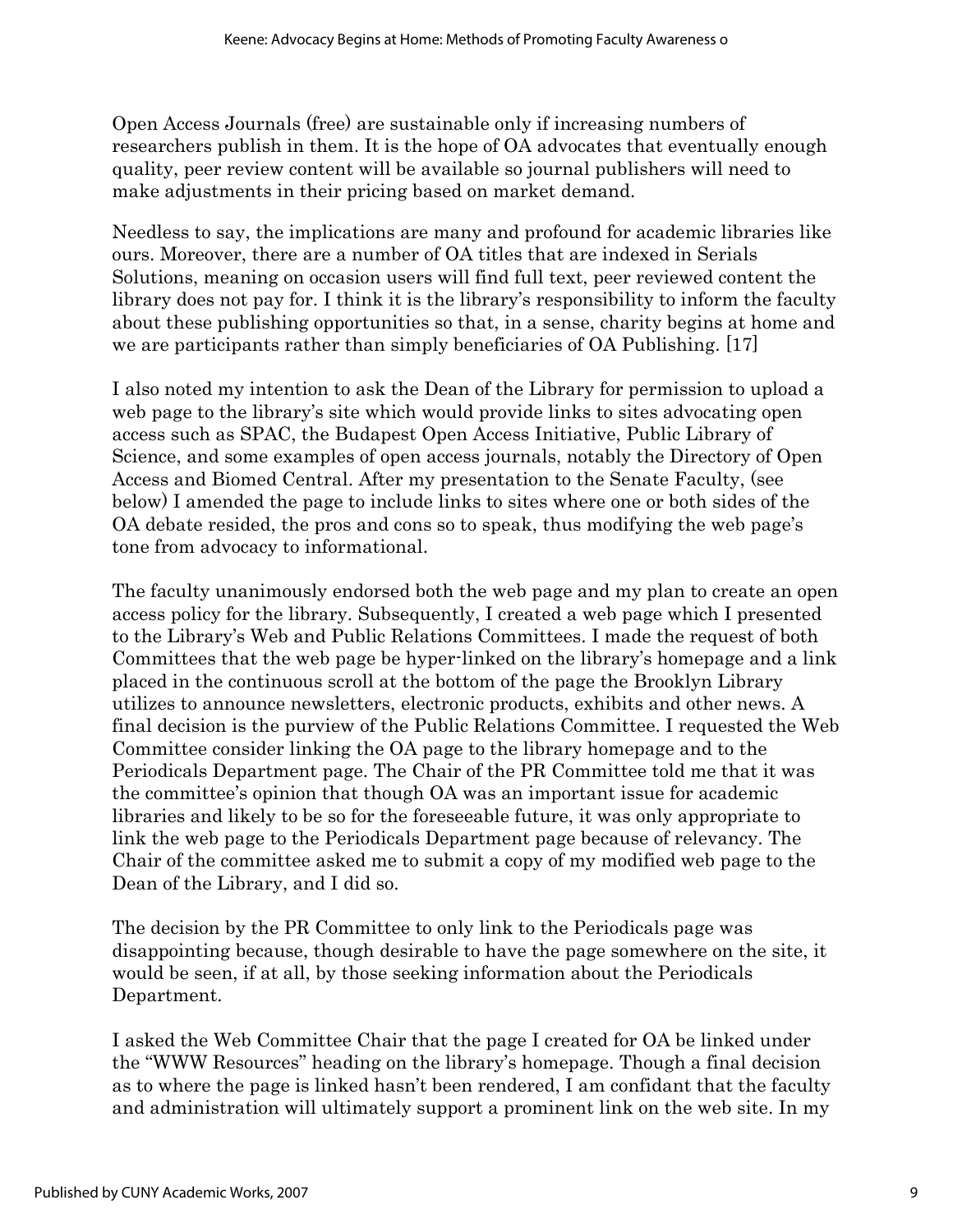Open Access Journals (free) are sustainable only if increasing numbers of researchers publish in them. It is the hope of OA advocates that eventually enough quality, peer review content will be available so journal publishers will need to make adjustments in their pricing based on market demand.

Needless to say, the implications are many and profound for academic libraries like ours. Moreover, there are a number of OA titles that are indexed in Serials Solutions, meaning on occasion users will find full text, peer reviewed content the library does not pay for. I think it is the library's responsibility to inform the faculty about these publishing opportunities so that, in a sense, charity begins at home and we are participants rather than simply beneficiaries of OA Publishing. [17]

I also noted my intention to ask the Dean of the Library for permission to upload a web page to the library's site which would provide links to sites advocating open access such as SPAC, the Budapest Open Access Initiative, Public Library of Science, and some examples of open access journals, notably the Directory of Open Access and Biomed Central. After my presentation to the Senate Faculty, (see below) I amended the page to include links to sites where one or both sides of the OA debate resided, the pros and cons so to speak, thus modifying the web page's tone from advocacy to informational.

The faculty unanimously endorsed both the web page and my plan to create an open access policy for the library. Subsequently, I created a web page which I presented to the Library's Web and Public Relations Committees. I made the request of both Committees that the web page be hyper-linked on the library's homepage and a link placed in the continuous scroll at the bottom of the page the Brooklyn Library utilizes to announce newsletters, electronic products, exhibits and other news. A final decision is the purview of the Public Relations Committee. I requested the Web Committee consider linking the OA page to the library homepage and to the Periodicals Department page. The Chair of the PR Committee told me that it was the committee's opinion that though OA was an important issue for academic libraries and likely to be so for the foreseeable future, it was only appropriate to link the web page to the Periodicals Department page because of relevancy. The Chair of the committee asked me to submit a copy of my modified web page to the Dean of the Library, and I did so.

The decision by the PR Committee to only link to the Periodicals page was disappointing because, though desirable to have the page somewhere on the site, it would be seen, if at all, by those seeking information about the Periodicals Department.

I asked the Web Committee Chair that the page I created for OA be linked under the "WWW Resources" heading on the library's homepage. Though a final decision as to where the page is linked hasn't been rendered, I am confidant that the faculty and administration will ultimately support a prominent link on the web site. In my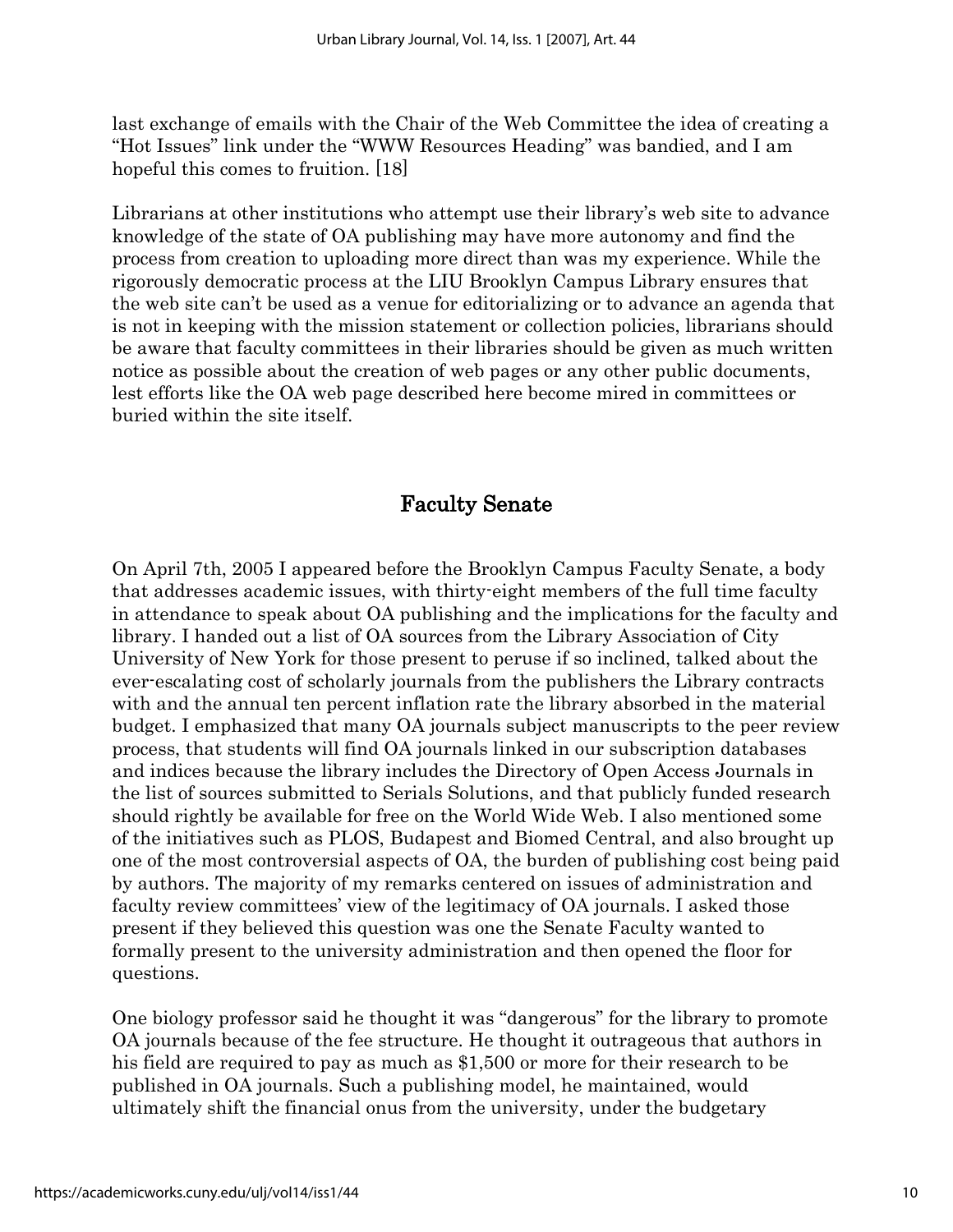last exchange of emails with the Chair of the Web Committee the idea of creating a "Hot Issues" link under the "WWW Resources Heading" was bandied, and I am hopeful this comes to fruition. [18]

Librarians at other institutions who attempt use their library's web site to advance knowledge of the state of OA publishing may have more autonomy and find the process from creation to uploading more direct than was my experience. While the rigorously democratic process at the LIU Brooklyn Campus Library ensures that the web site can't be used as a venue for editorializing or to advance an agenda that is not in keeping with the mission statement or collection policies, librarians should be aware that faculty committees in their libraries should be given as much written notice as possible about the creation of web pages or any other public documents, lest efforts like the OA web page described here become mired in committees or buried within the site itself.

#### Faculty Senate

On April 7th, 2005 I appeared before the Brooklyn Campus Faculty Senate, a body that addresses academic issues, with thirty-eight members of the full time faculty in attendance to speak about OA publishing and the implications for the faculty and library. I handed out a list of OA sources from the Library Association of City University of New York for those present to peruse if so inclined, talked about the ever-escalating cost of scholarly journals from the publishers the Library contracts with and the annual ten percent inflation rate the library absorbed in the material budget. I emphasized that many OA journals subject manuscripts to the peer review process, that students will find OA journals linked in our subscription databases and indices because the library includes the Directory of Open Access Journals in the list of sources submitted to Serials Solutions, and that publicly funded research should rightly be available for free on the World Wide Web. I also mentioned some of the initiatives such as PLOS, Budapest and Biomed Central, and also brought up one of the most controversial aspects of OA, the burden of publishing cost being paid by authors. The majority of my remarks centered on issues of administration and faculty review committees' view of the legitimacy of OA journals. I asked those present if they believed this question was one the Senate Faculty wanted to formally present to the university administration and then opened the floor for questions.

One biology professor said he thought it was "dangerous" for the library to promote OA journals because of the fee structure. He thought it outrageous that authors in his field are required to pay as much as \$1,500 or more for their research to be published in OA journals. Such a publishing model, he maintained, would ultimately shift the financial onus from the university, under the budgetary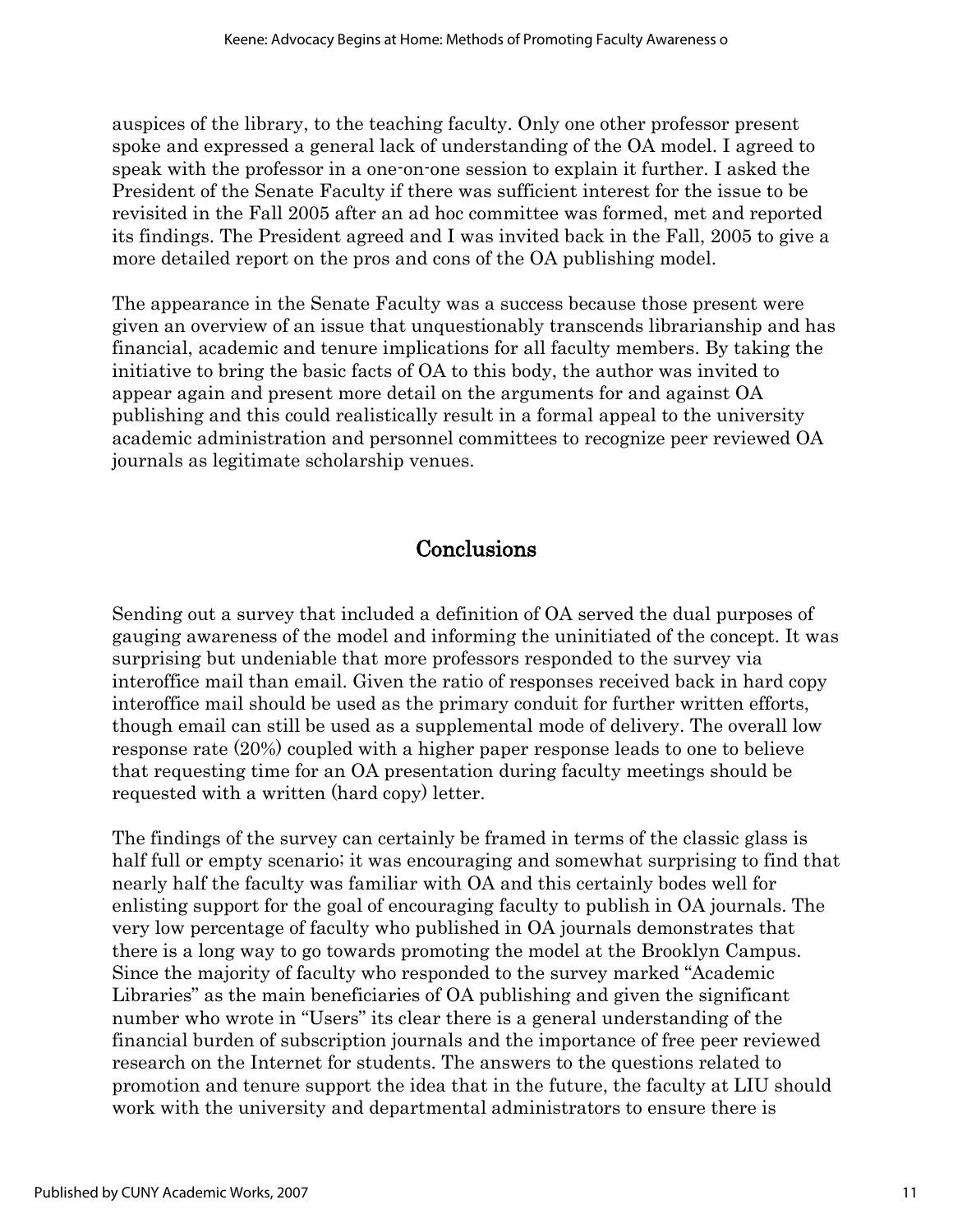auspices of the library, to the teaching faculty. Only one other professor present spoke and expressed a general lack of understanding of the OA model. I agreed to speak with the professor in a one-on-one session to explain it further. I asked the President of the Senate Faculty if there was sufficient interest for the issue to be revisited in the Fall 2005 after an ad hoc committee was formed, met and reported its findings. The President agreed and I was invited back in the Fall, 2005 to give a more detailed report on the pros and cons of the OA publishing model.

The appearance in the Senate Faculty was a success because those present were given an overview of an issue that unquestionably transcends librarianship and has financial, academic and tenure implications for all faculty members. By taking the initiative to bring the basic facts of OA to this body, the author was invited to appear again and present more detail on the arguments for and against OA publishing and this could realistically result in a formal appeal to the university academic administration and personnel committees to recognize peer reviewed OA journals as legitimate scholarship venues.

### **Conclusions**

Sending out a survey that included a definition of OA served the dual purposes of gauging awareness of the model and informing the uninitiated of the concept. It was surprising but undeniable that more professors responded to the survey via interoffice mail than email. Given the ratio of responses received back in hard copy interoffice mail should be used as the primary conduit for further written efforts, though email can still be used as a supplemental mode of delivery. The overall low response rate (20%) coupled with a higher paper response leads to one to believe that requesting time for an OA presentation during faculty meetings should be requested with a written (hard copy) letter.

The findings of the survey can certainly be framed in terms of the classic glass is half full or empty scenario; it was encouraging and somewhat surprising to find that nearly half the faculty was familiar with OA and this certainly bodes well for enlisting support for the goal of encouraging faculty to publish in OA journals. The very low percentage of faculty who published in OA journals demonstrates that there is a long way to go towards promoting the model at the Brooklyn Campus. Since the majority of faculty who responded to the survey marked "Academic Libraries" as the main beneficiaries of OA publishing and given the significant number who wrote in "Users" its clear there is a general understanding of the financial burden of subscription journals and the importance of free peer reviewed research on the Internet for students. The answers to the questions related to promotion and tenure support the idea that in the future, the faculty at LIU should work with the university and departmental administrators to ensure there is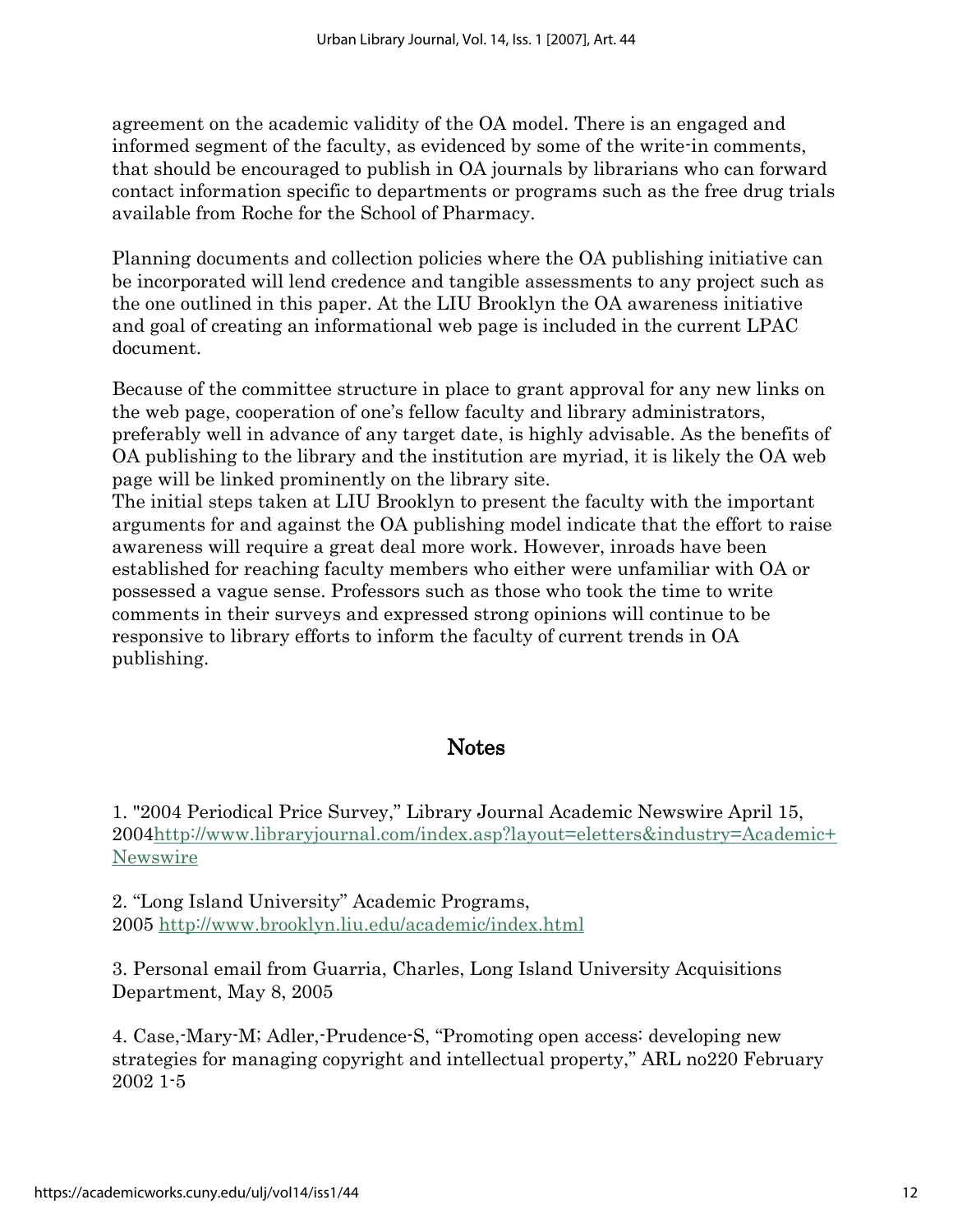agreement on the academic validity of the OA model. There is an engaged and informed segment of the faculty, as evidenced by some of the write-in comments, that should be encouraged to publish in OA journals by librarians who can forward contact information specific to departments or programs such as the free drug trials available from Roche for the School of Pharmacy.

Planning documents and collection policies where the OA publishing initiative can be incorporated will lend credence and tangible assessments to any project such as the one outlined in this paper. At the LIU Brooklyn the OA awareness initiative and goal of creating an informational web page is included in the current LPAC document.

Because of the committee structure in place to grant approval for any new links on the web page, cooperation of one's fellow faculty and library administrators, preferably well in advance of any target date, is highly advisable. As the benefits of OA publishing to the library and the institution are myriad, it is likely the OA web page will be linked prominently on the library site.

The initial steps taken at LIU Brooklyn to present the faculty with the important arguments for and against the OA publishing model indicate that the effort to raise awareness will require a great deal more work. However, inroads have been established for reaching faculty members who either were unfamiliar with OA or possessed a vague sense. Professors such as those who took the time to write comments in their surveys and expressed strong opinions will continue to be responsive to library efforts to inform the faculty of current trends in OA publishing.

#### **Notes**

1. "2004 Periodical Price Survey," Library Journal Academic Newswire April 15, 200[4http://www.libraryjournal.com/index.asp?layout=eletters&industry=Academic+](http://www.libraryjournal.com/index.asp?layout=eletters&industry=Academic+Newswire) [Newswire](http://www.libraryjournal.com/index.asp?layout=eletters&industry=Academic+Newswire)

2. "Long Island University" Academic Programs, 2005<http://www.brooklyn.liu.edu/academic/index.html>

3. Personal email from Guarria, Charles, Long Island University Acquisitions Department, May 8, 2005

4. Case,-Mary-M; Adler,-Prudence-S, "Promoting open access: developing new strategies for managing copyright and intellectual property," ARL no220 February 2002 1-5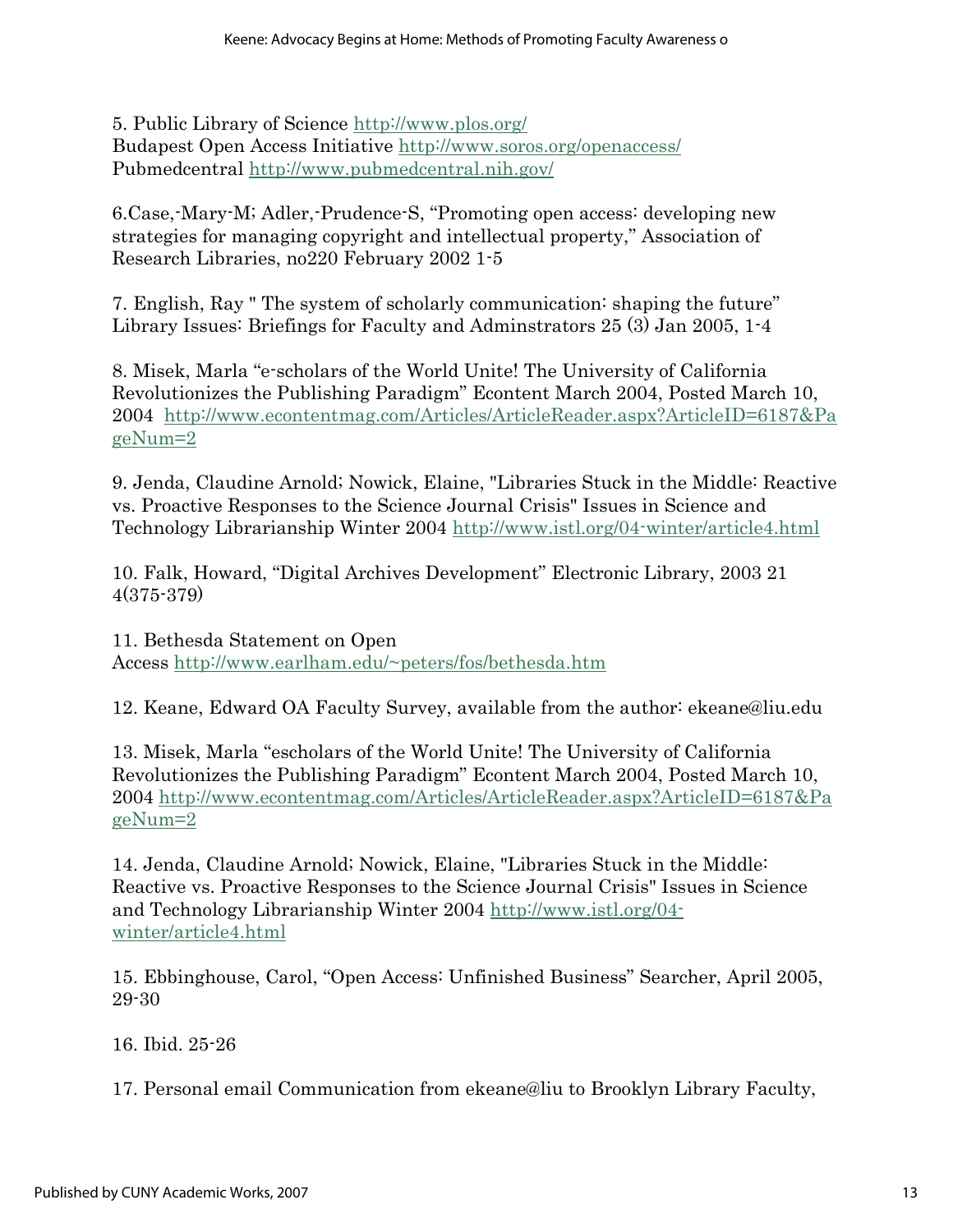5. Public Library of Science <http://www.plos.org/> Budapest Open Access Initiative<http://www.soros.org/openaccess/> Pubmedcentral<http://www.pubmedcentral.nih.gov/>

6.Case,-Mary-M; Adler,-Prudence-S, "Promoting open access: developing new strategies for managing copyright and intellectual property," Association of Research Libraries, no220 February 2002 1-5

7. English, Ray " The system of scholarly communication: shaping the future" Library Issues: Briefings for Faculty and Adminstrators 25 (3) Jan 2005, 1-4

8. Misek, Marla "e-scholars of the World Unite! The University of California Revolutionizes the Publishing Paradigm" Econtent March 2004, Posted March 10, 2004 [http://www.econtentmag.com/Articles/ArticleReader.aspx?ArticleID=6187&Pa](http://www.econtentmag.com/Articles/ArticleReader.aspx?ArticleID=6187&PageNum=2) [geNum=2](http://www.econtentmag.com/Articles/ArticleReader.aspx?ArticleID=6187&PageNum=2)

9. Jenda, Claudine Arnold; Nowick, Elaine, "Libraries Stuck in the Middle: Reactive vs. Proactive Responses to the Science Journal Crisis" Issues in Science and Technology Librarianship Winter 2004<http://www.istl.org/04-winter/article4.html>

10. Falk, Howard, "Digital Archives Development" Electronic Library, 2003 21 4(375-379)

11. Bethesda Statement on Open Access<http://www.earlham.edu/~peters/fos/bethesda.htm>

12. Keane, Edward OA Faculty Survey, available from the author: ekeane@liu.edu

13. Misek, Marla "escholars of the World Unite! The University of California Revolutionizes the Publishing Paradigm" Econtent March 2004, Posted March 10, 2004 [http://www.econtentmag.com/Articles/ArticleReader.aspx?ArticleID=6187&Pa](http://www.econtentmag.com/Articles/ArticleReader.aspx?ArticleID=6187&PageNum=2) [geNum=2](http://www.econtentmag.com/Articles/ArticleReader.aspx?ArticleID=6187&PageNum=2)

14. Jenda, Claudine Arnold; Nowick, Elaine, "Libraries Stuck in the Middle: Reactive vs. Proactive Responses to the Science Journal Crisis" Issues in Science and Technology Librarianship Winter 2004 [http://www.istl.org/04](http://www.istl.org/04-winter/article4.html) [winter/article4.html](http://www.istl.org/04-winter/article4.html)

15. Ebbinghouse, Carol, "Open Access: Unfinished Business" Searcher, April 2005, 29-30

16. Ibid. 25-26

17. Personal email Communication from ekeane@liu to Brooklyn Library Faculty,